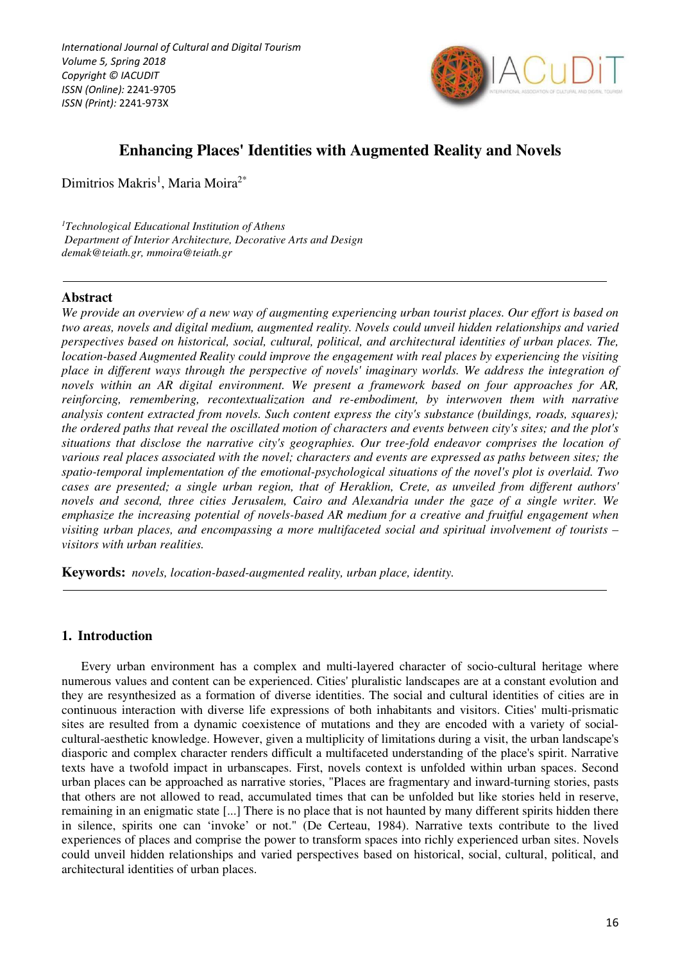*International Journal of Cultural and Digital Tourism Volume 5, Spring 2018 Copyright © IACUDIT ISSN (Online):* 2241-9705 *ISSN (Print):* 2241-973X



# **Enhancing Places' Identities with Augmented Reality and Novels**

Dimitrios Makris<sup>1</sup>, Maria Moira<sup>2\*</sup>

*<sup>1</sup>Technological Educational Institution of Athens Department of Interior Architecture, Decorative Arts and Design demak@teiath.gr, mmoira@teiath.gr* 

### **Abstract**

*We provide an overview of a new way of augmenting experiencing urban tourist places. Our effort is based on two areas, novels and digital medium, augmented reality. Novels could unveil hidden relationships and varied perspectives based on historical, social, cultural, political, and architectural identities of urban places. The, location-based Augmented Reality could improve the engagement with real places by experiencing the visiting place in different ways through the perspective of novels' imaginary worlds. We address the integration of novels within an AR digital environment. We present a framework based on four approaches for AR, reinforcing, remembering, recontextualization and re-embodiment, by interwoven them with narrative analysis content extracted from novels. Such content express the city's substance (buildings, roads, squares); the ordered paths that reveal the oscillated motion of characters and events between city's sites; and the plot's situations that disclose the narrative city's geographies. Our tree-fold endeavor comprises the location of various real places associated with the novel; characters and events are expressed as paths between sites; the spatio-temporal implementation of the emotional-psychological situations of the novel's plot is overlaid. Two cases are presented; a single urban region, that of Heraklion, Crete, as unveiled from different authors' novels and second, three cities Jerusalem, Cairo and Alexandria under the gaze of a single writer. We emphasize the increasing potential of novels-based AR medium for a creative and fruitful engagement when visiting urban places, and encompassing a more multifaceted social and spiritual involvement of tourists – visitors with urban realities.* 

**Keywords:** *novels, location-based-augmented reality, urban place, identity.* 

### **1. Introduction**

Every urban environment has a complex and multi-layered character of socio-cultural heritage where numerous values and content can be experienced. Cities' pluralistic landscapes are at a constant evolution and they are resynthesized as a formation of diverse identities. The social and cultural identities of cities are in continuous interaction with diverse life expressions of both inhabitants and visitors. Cities' multi-prismatic sites are resulted from a dynamic coexistence of mutations and they are encoded with a variety of socialcultural-aesthetic knowledge. However, given a multiplicity of limitations during a visit, the urban landscape's diasporic and complex character renders difficult a multifaceted understanding of the place's spirit. Narrative texts have a twofold impact in urbanscapes. First, novels context is unfolded within urban spaces. Second urban places can be approached as narrative stories, "Places are fragmentary and inward-turning stories, pasts that others are not allowed to read, accumulated times that can be unfolded but like stories held in reserve, remaining in an enigmatic state [...] There is no place that is not haunted by many different spirits hidden there in silence, spirits one can 'invoke' or not." (De Certeau, 1984). Narrative texts contribute to the lived experiences of places and comprise the power to transform spaces into richly experienced urban sites. Novels could unveil hidden relationships and varied perspectives based on historical, social, cultural, political, and architectural identities of urban places.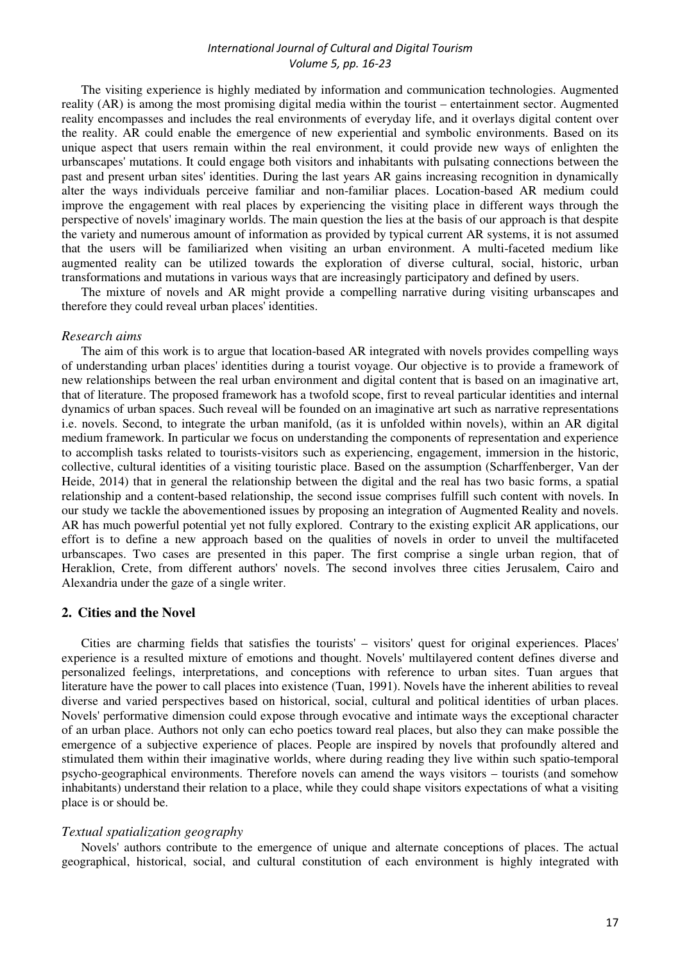The visiting experience is highly mediated by information and communication technologies. Augmented reality (AR) is among the most promising digital media within the tourist – entertainment sector. Augmented reality encompasses and includes the real environments of everyday life, and it overlays digital content over the reality. AR could enable the emergence of new experiential and symbolic environments. Based on its unique aspect that users remain within the real environment, it could provide new ways of enlighten the urbanscapes' mutations. It could engage both visitors and inhabitants with pulsating connections between the past and present urban sites' identities. During the last years AR gains increasing recognition in dynamically alter the ways individuals perceive familiar and non-familiar places. Location-based AR medium could improve the engagement with real places by experiencing the visiting place in different ways through the perspective of novels' imaginary worlds. The main question the lies at the basis of our approach is that despite the variety and numerous amount of information as provided by typical current AR systems, it is not assumed that the users will be familiarized when visiting an urban environment. A multi-faceted medium like augmented reality can be utilized towards the exploration of diverse cultural, social, historic, urban transformations and mutations in various ways that are increasingly participatory and defined by users.

The mixture of novels and AR might provide a compelling narrative during visiting urbanscapes and therefore they could reveal urban places' identities.

#### *Research aims*

The aim of this work is to argue that location-based AR integrated with novels provides compelling ways of understanding urban places' identities during a tourist voyage. Our objective is to provide a framework of new relationships between the real urban environment and digital content that is based on an imaginative art, that of literature. The proposed framework has a twofold scope, first to reveal particular identities and internal dynamics of urban spaces. Such reveal will be founded on an imaginative art such as narrative representations i.e. novels. Second, to integrate the urban manifold, (as it is unfolded within novels), within an AR digital medium framework. In particular we focus on understanding the components of representation and experience to accomplish tasks related to tourists-visitors such as experiencing, engagement, immersion in the historic, collective, cultural identities of a visiting touristic place. Based on the assumption (Scharffenberger, Van der Heide, 2014) that in general the relationship between the digital and the real has two basic forms, a spatial relationship and a content-based relationship, the second issue comprises fulfill such content with novels. In our study we tackle the abovementioned issues by proposing an integration of Augmented Reality and novels. AR has much powerful potential yet not fully explored. Contrary to the existing explicit AR applications, our effort is to define a new approach based on the qualities of novels in order to unveil the multifaceted urbanscapes. Two cases are presented in this paper. The first comprise a single urban region, that of Heraklion, Crete, from different authors' novels. The second involves three cities Jerusalem, Cairo and Alexandria under the gaze of a single writer.

### **2. Cities and the Novel**

Cities are charming fields that satisfies the tourists' – visitors' quest for original experiences. Places' experience is a resulted mixture of emotions and thought. Novels' multilayered content defines diverse and personalized feelings, interpretations, and conceptions with reference to urban sites. Tuan argues that literature have the power to call places into existence (Tuan, 1991). Novels have the inherent abilities to reveal diverse and varied perspectives based on historical, social, cultural and political identities of urban places. Novels' performative dimension could expose through evocative and intimate ways the exceptional character of an urban place. Authors not only can echo poetics toward real places, but also they can make possible the emergence of a subjective experience of places. People are inspired by novels that profoundly altered and stimulated them within their imaginative worlds, where during reading they live within such spatio-temporal psycho-geographical environments. Therefore novels can amend the ways visitors – tourists (and somehow inhabitants) understand their relation to a place, while they could shape visitors expectations of what a visiting place is or should be.

### *Textual spatialization geography*

Novels' authors contribute to the emergence of unique and alternate conceptions of places. The actual geographical, historical, social, and cultural constitution of each environment is highly integrated with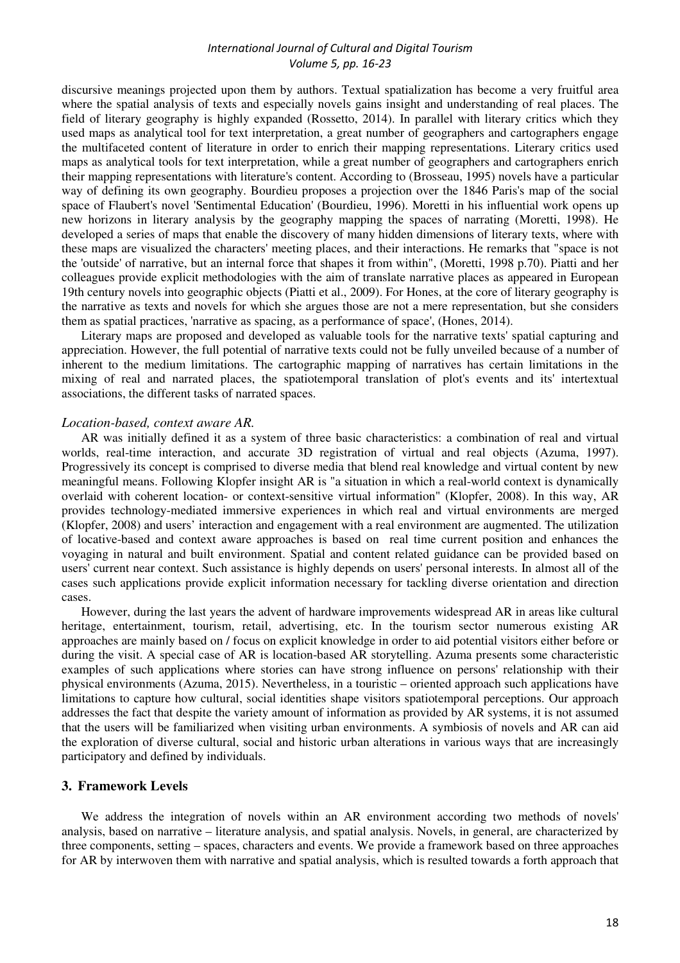discursive meanings projected upon them by authors. Textual spatialization has become a very fruitful area where the spatial analysis of texts and especially novels gains insight and understanding of real places. The field of literary geography is highly expanded (Rossetto, 2014). In parallel with literary critics which they used maps as analytical tool for text interpretation, a great number of geographers and cartographers engage the multifaceted content of literature in order to enrich their mapping representations. Literary critics used maps as analytical tools for text interpretation, while a great number of geographers and cartographers enrich their mapping representations with literature's content. According to (Brosseau, 1995) novels have a particular way of defining its own geography. Bourdieu proposes a projection over the 1846 Paris's map of the social space of Flaubert's novel 'Sentimental Education' (Bourdieu, 1996). Moretti in his influential work opens up new horizons in literary analysis by the geography mapping the spaces of narrating (Moretti, 1998). He developed a series of maps that enable the discovery of many hidden dimensions of literary texts, where with these maps are visualized the characters' meeting places, and their interactions. He remarks that "space is not the 'outside' of narrative, but an internal force that shapes it from within", (Moretti, 1998 p.70). Piatti and her colleagues provide explicit methodologies with the aim of translate narrative places as appeared in European 19th century novels into geographic objects (Piatti et al., 2009). For Hones, at the core of literary geography is the narrative as texts and novels for which she argues those are not a mere representation, but she considers them as spatial practices, 'narrative as spacing, as a performance of space', (Hones, 2014).

Literary maps are proposed and developed as valuable tools for the narrative texts' spatial capturing and appreciation. However, the full potential of narrative texts could not be fully unveiled because of a number of inherent to the medium limitations. The cartographic mapping of narratives has certain limitations in the mixing of real and narrated places, the spatiotemporal translation of plot's events and its' intertextual associations, the different tasks of narrated spaces.

### *Location-based, context aware AR.*

AR was initially defined it as a system of three basic characteristics: a combination of real and virtual worlds, real-time interaction, and accurate 3D registration of virtual and real objects (Azuma, 1997). Progressively its concept is comprised to diverse media that blend real knowledge and virtual content by new meaningful means. Following Klopfer insight AR is "a situation in which a real-world context is dynamically overlaid with coherent location- or context-sensitive virtual information" (Klopfer, 2008). In this way, AR provides technology-mediated immersive experiences in which real and virtual environments are merged (Klopfer, 2008) and users' interaction and engagement with a real environment are augmented. The utilization of locative-based and context aware approaches is based on real time current position and enhances the voyaging in natural and built environment. Spatial and content related guidance can be provided based on users' current near context. Such assistance is highly depends on users' personal interests. In almost all of the cases such applications provide explicit information necessary for tackling diverse orientation and direction cases.

However, during the last years the advent of hardware improvements widespread AR in areas like cultural heritage, entertainment, tourism, retail, advertising, etc. In the tourism sector numerous existing AR approaches are mainly based on / focus on explicit knowledge in order to aid potential visitors either before or during the visit. A special case of AR is location-based AR storytelling. Azuma presents some characteristic examples of such applications where stories can have strong influence on persons' relationship with their physical environments (Azuma, 2015). Nevertheless, in a touristic – oriented approach such applications have limitations to capture how cultural, social identities shape visitors spatiotemporal perceptions. Our approach addresses the fact that despite the variety amount of information as provided by AR systems, it is not assumed that the users will be familiarized when visiting urban environments. A symbiosis of novels and AR can aid the exploration of diverse cultural, social and historic urban alterations in various ways that are increasingly participatory and defined by individuals.

### **3. Framework Levels**

We address the integration of novels within an AR environment according two methods of novels' analysis, based on narrative – literature analysis, and spatial analysis. Novels, in general, are characterized by three components, setting – spaces, characters and events. We provide a framework based on three approaches for AR by interwoven them with narrative and spatial analysis, which is resulted towards a forth approach that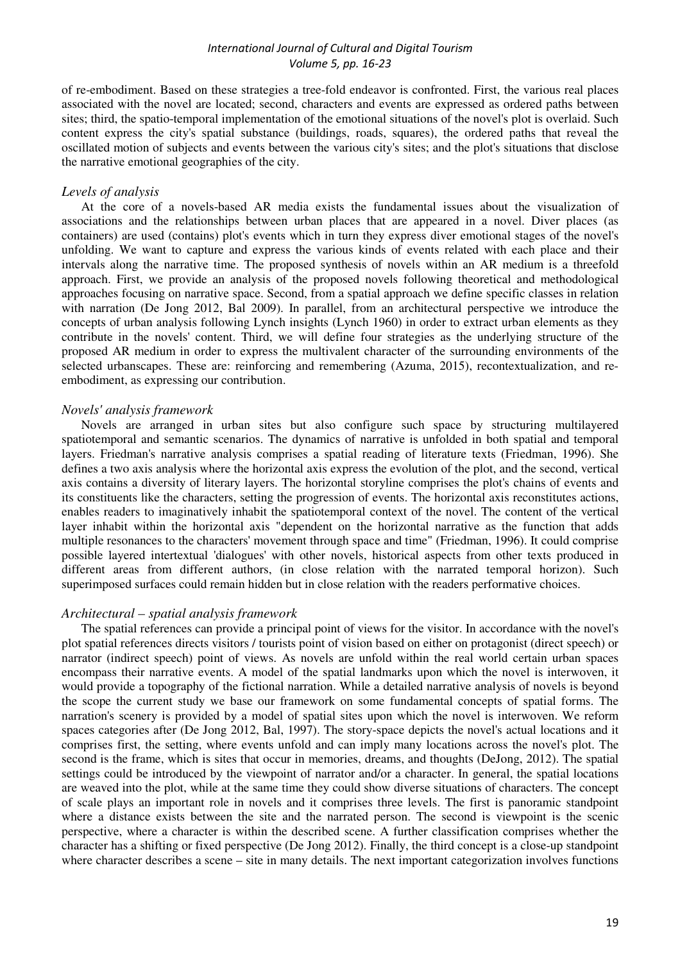of re-embodiment. Based on these strategies a tree-fold endeavor is confronted. First, the various real places associated with the novel are located; second, characters and events are expressed as ordered paths between sites; third, the spatio-temporal implementation of the emotional situations of the novel's plot is overlaid. Such content express the city's spatial substance (buildings, roads, squares), the ordered paths that reveal the oscillated motion of subjects and events between the various city's sites; and the plot's situations that disclose the narrative emotional geographies of the city.

### *Levels of analysis*

At the core of a novels-based AR media exists the fundamental issues about the visualization of associations and the relationships between urban places that are appeared in a novel. Diver places (as containers) are used (contains) plot's events which in turn they express diver emotional stages of the novel's unfolding. We want to capture and express the various kinds of events related with each place and their intervals along the narrative time. The proposed synthesis of novels within an AR medium is a threefold approach. First, we provide an analysis of the proposed novels following theoretical and methodological approaches focusing on narrative space. Second, from a spatial approach we define specific classes in relation with narration (De Jong 2012, Bal 2009). In parallel, from an architectural perspective we introduce the concepts of urban analysis following Lynch insights (Lynch 1960) in order to extract urban elements as they contribute in the novels' content. Third, we will define four strategies as the underlying structure of the proposed AR medium in order to express the multivalent character of the surrounding environments of the selected urbanscapes. These are: reinforcing and remembering (Azuma, 2015), recontextualization, and reembodiment, as expressing our contribution.

#### *Novels' analysis framework*

Novels are arranged in urban sites but also configure such space by structuring multilayered spatiotemporal and semantic scenarios. The dynamics of narrative is unfolded in both spatial and temporal layers. Friedman's narrative analysis comprises a spatial reading of literature texts (Friedman, 1996). She defines a two axis analysis where the horizontal axis express the evolution of the plot, and the second, vertical axis contains a diversity of literary layers. The horizontal storyline comprises the plot's chains of events and its constituents like the characters, setting the progression of events. The horizontal axis reconstitutes actions, enables readers to imaginatively inhabit the spatiotemporal context of the novel. The content of the vertical layer inhabit within the horizontal axis "dependent on the horizontal narrative as the function that adds multiple resonances to the characters' movement through space and time" (Friedman, 1996). It could comprise possible layered intertextual 'dialogues' with other novels, historical aspects from other texts produced in different areas from different authors, (in close relation with the narrated temporal horizon). Such superimposed surfaces could remain hidden but in close relation with the readers performative choices.

#### *Architectural – spatial analysis framework*

The spatial references can provide a principal point of views for the visitor. In accordance with the novel's plot spatial references directs visitors / tourists point of vision based on either on protagonist (direct speech) or narrator (indirect speech) point of views. As novels are unfold within the real world certain urban spaces encompass their narrative events. A model of the spatial landmarks upon which the novel is interwoven, it would provide a topography of the fictional narration. While a detailed narrative analysis of novels is beyond the scope the current study we base our framework on some fundamental concepts of spatial forms. The narration's scenery is provided by a model of spatial sites upon which the novel is interwoven. We reform spaces categories after (De Jong 2012, Bal, 1997). The story-space depicts the novel's actual locations and it comprises first, the setting, where events unfold and can imply many locations across the novel's plot. The second is the frame, which is sites that occur in memories, dreams, and thoughts (DeJong, 2012). The spatial settings could be introduced by the viewpoint of narrator and/or a character. In general, the spatial locations are weaved into the plot, while at the same time they could show diverse situations of characters. The concept of scale plays an important role in novels and it comprises three levels. The first is panoramic standpoint where a distance exists between the site and the narrated person. The second is viewpoint is the scenic perspective, where a character is within the described scene. A further classification comprises whether the character has a shifting or fixed perspective (De Jong 2012). Finally, the third concept is a close-up standpoint where character describes a scene – site in many details. The next important categorization involves functions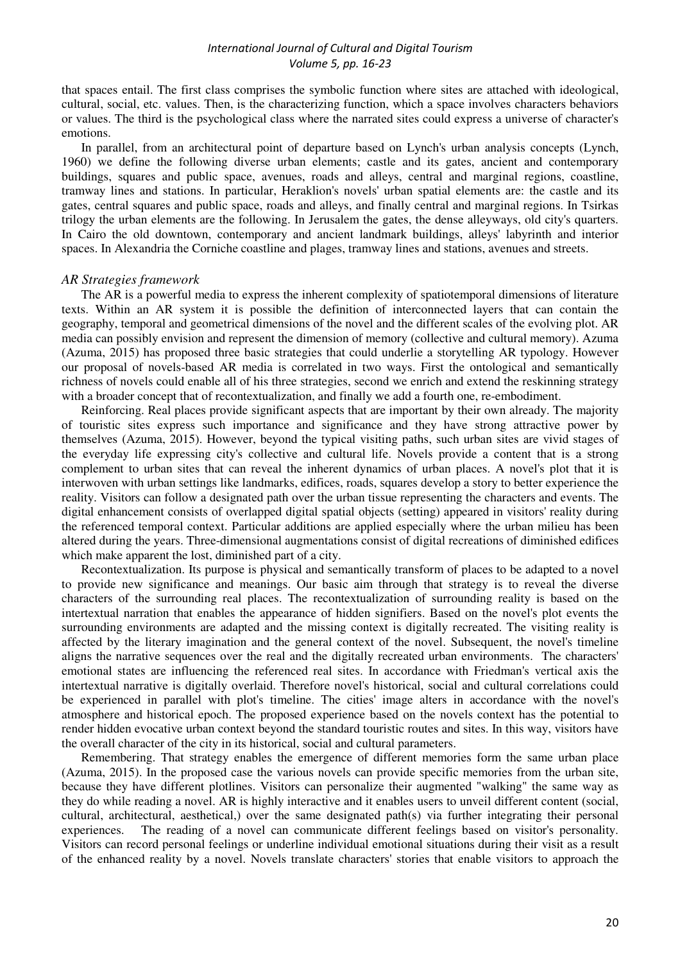that spaces entail. The first class comprises the symbolic function where sites are attached with ideological, cultural, social, etc. values. Then, is the characterizing function, which a space involves characters behaviors or values. The third is the psychological class where the narrated sites could express a universe of character's emotions.

In parallel, from an architectural point of departure based on Lynch's urban analysis concepts (Lynch, 1960) we define the following diverse urban elements; castle and its gates, ancient and contemporary buildings, squares and public space, avenues, roads and alleys, central and marginal regions, coastline, tramway lines and stations. In particular, Heraklion's novels' urban spatial elements are: the castle and its gates, central squares and public space, roads and alleys, and finally central and marginal regions. In Tsirkas trilogy the urban elements are the following. In Jerusalem the gates, the dense alleyways, old city's quarters. In Cairo the old downtown, contemporary and ancient landmark buildings, alleys' labyrinth and interior spaces. In Alexandria the Corniche coastline and plages, tramway lines and stations, avenues and streets.

#### *AR Strategies framework*

The AR is a powerful media to express the inherent complexity of spatiotemporal dimensions of literature texts. Within an AR system it is possible the definition of interconnected layers that can contain the geography, temporal and geometrical dimensions of the novel and the different scales of the evolving plot. AR media can possibly envision and represent the dimension of memory (collective and cultural memory). Azuma (Azuma, 2015) has proposed three basic strategies that could underlie a storytelling AR typology. However our proposal of novels-based AR media is correlated in two ways. First the ontological and semantically richness of novels could enable all of his three strategies, second we enrich and extend the reskinning strategy with a broader concept that of recontextualization, and finally we add a fourth one, re-embodiment.

Reinforcing. Real places provide significant aspects that are important by their own already. The majority of touristic sites express such importance and significance and they have strong attractive power by themselves (Azuma, 2015). However, beyond the typical visiting paths, such urban sites are vivid stages of the everyday life expressing city's collective and cultural life. Novels provide a content that is a strong complement to urban sites that can reveal the inherent dynamics of urban places. A novel's plot that it is interwoven with urban settings like landmarks, edifices, roads, squares develop a story to better experience the reality. Visitors can follow a designated path over the urban tissue representing the characters and events. The digital enhancement consists of overlapped digital spatial objects (setting) appeared in visitors' reality during the referenced temporal context. Particular additions are applied especially where the urban milieu has been altered during the years. Three-dimensional augmentations consist of digital recreations of diminished edifices which make apparent the lost, diminished part of a city.

Recontextualization. Its purpose is physical and semantically transform of places to be adapted to a novel to provide new significance and meanings. Our basic aim through that strategy is to reveal the diverse characters of the surrounding real places. The recontextualization of surrounding reality is based on the intertextual narration that enables the appearance of hidden signifiers. Based on the novel's plot events the surrounding environments are adapted and the missing context is digitally recreated. The visiting reality is affected by the literary imagination and the general context of the novel. Subsequent, the novel's timeline aligns the narrative sequences over the real and the digitally recreated urban environments. The characters' emotional states are influencing the referenced real sites. In accordance with Friedman's vertical axis the intertextual narrative is digitally overlaid. Therefore novel's historical, social and cultural correlations could be experienced in parallel with plot's timeline. The cities' image alters in accordance with the novel's atmosphere and historical epoch. The proposed experience based on the novels context has the potential to render hidden evocative urban context beyond the standard touristic routes and sites. In this way, visitors have the overall character of the city in its historical, social and cultural parameters.

Remembering. That strategy enables the emergence of different memories form the same urban place (Azuma, 2015). In the proposed case the various novels can provide specific memories from the urban site, because they have different plotlines. Visitors can personalize their augmented "walking" the same way as they do while reading a novel. AR is highly interactive and it enables users to unveil different content (social, cultural, architectural, aesthetical,) over the same designated path(s) via further integrating their personal experiences. The reading of a novel can communicate different feelings based on visitor's personality. Visitors can record personal feelings or underline individual emotional situations during their visit as a result of the enhanced reality by a novel. Novels translate characters' stories that enable visitors to approach the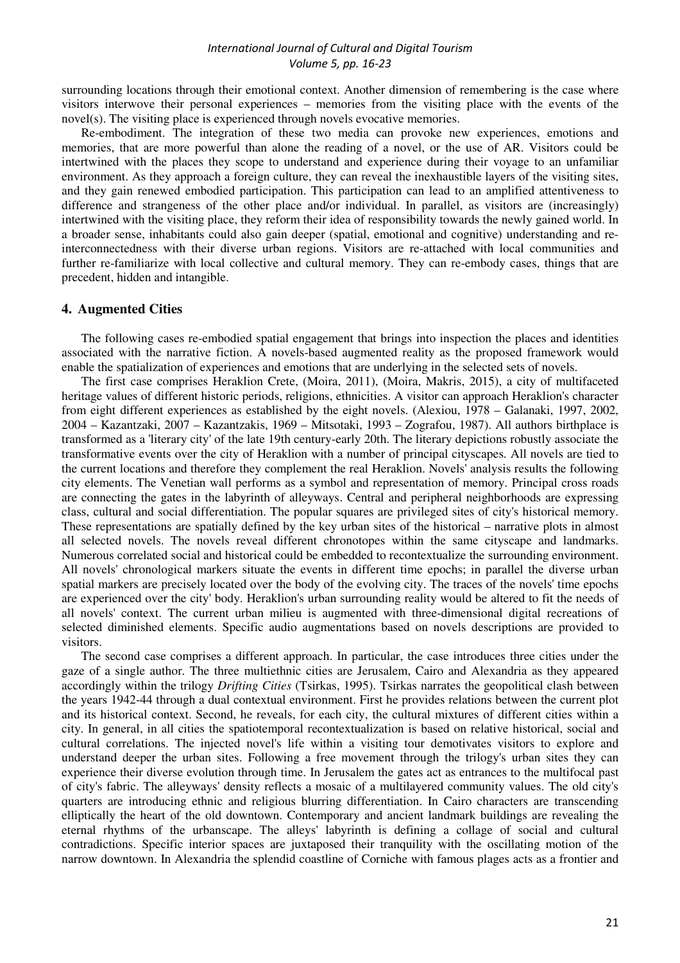surrounding locations through their emotional context. Another dimension of remembering is the case where visitors interwove their personal experiences – memories from the visiting place with the events of the novel(s). The visiting place is experienced through novels evocative memories.

Re-embodiment. The integration of these two media can provoke new experiences, emotions and memories, that are more powerful than alone the reading of a novel, or the use of AR. Visitors could be intertwined with the places they scope to understand and experience during their voyage to an unfamiliar environment. As they approach a foreign culture, they can reveal the inexhaustible layers of the visiting sites, and they gain renewed embodied participation. This participation can lead to an amplified attentiveness to difference and strangeness of the other place and/or individual. In parallel, as visitors are (increasingly) intertwined with the visiting place, they reform their idea of responsibility towards the newly gained world. In a broader sense, inhabitants could also gain deeper (spatial, emotional and cognitive) understanding and reinterconnectedness with their diverse urban regions. Visitors are re-attached with local communities and further re-familiarize with local collective and cultural memory. They can re-embody cases, things that are precedent, hidden and intangible.

### **4. Augmented Cities**

The following cases re-embodied spatial engagement that brings into inspection the places and identities associated with the narrative fiction. A novels-based augmented reality as the proposed framework would enable the spatialization of experiences and emotions that are underlying in the selected sets of novels.

The first case comprises Heraklion Crete, (Moira, 2011), (Moira, Makris, 2015), a city of multifaceted heritage values of different historic periods, religions, ethnicities. A visitor can approach Heraklion's character from eight different experiences as established by the eight novels. (Alexiou, 1978 – Galanaki, 1997, 2002, 2004 – Kazantzaki, 2007 – Kazantzakis, 1969 – Mitsotaki, 1993 – Zografou, 1987). All authors birthplace is transformed as a 'literary city' of the late 19th century-early 20th. The literary depictions robustly associate the transformative events over the city of Heraklion with a number of principal cityscapes. All novels are tied to the current locations and therefore they complement the real Heraklion. Novels' analysis results the following city elements. The Venetian wall performs as a symbol and representation of memory. Principal cross roads are connecting the gates in the labyrinth of alleyways. Central and peripheral neighborhoods are expressing class, cultural and social differentiation. The popular squares are privileged sites of city's historical memory. These representations are spatially defined by the key urban sites of the historical – narrative plots in almost all selected novels. The novels reveal different chronotopes within the same cityscape and landmarks. Numerous correlated social and historical could be embedded to recontextualize the surrounding environment. All novels' chronological markers situate the events in different time epochs; in parallel the diverse urban spatial markers are precisely located over the body of the evolving city. The traces of the novels' time epochs are experienced over the city' body. Heraklion's urban surrounding reality would be altered to fit the needs of all novels' context. The current urban milieu is augmented with three-dimensional digital recreations of selected diminished elements. Specific audio augmentations based on novels descriptions are provided to visitors.

The second case comprises a different approach. In particular, the case introduces three cities under the gaze of a single author. The three multiethnic cities are Jerusalem, Cairo and Alexandria as they appeared accordingly within the trilogy *Drifting Cities* (Tsirkas, 1995). Tsirkas narrates the geopolitical clash between the years 1942-44 through a dual contextual environment. First he provides relations between the current plot and its historical context. Second, he reveals, for each city, the cultural mixtures of different cities within a city. In general, in all cities the spatiotemporal recontextualization is based on relative historical, social and cultural correlations. The injected novel's life within a visiting tour demotivates visitors to explore and understand deeper the urban sites. Following a free movement through the trilogy's urban sites they can experience their diverse evolution through time. In Jerusalem the gates act as entrances to the multifocal past of city's fabric. The alleyways' density reflects a mosaic of a multilayered community values. The old city's quarters are introducing ethnic and religious blurring differentiation. In Cairo characters are transcending elliptically the heart of the old downtown. Contemporary and ancient landmark buildings are revealing the eternal rhythms of the urbanscape. The alleys' labyrinth is defining a collage of social and cultural contradictions. Specific interior spaces are juxtaposed their tranquility with the oscillating motion of the narrow downtown. In Alexandria the splendid coastline of Corniche with famous plages acts as a frontier and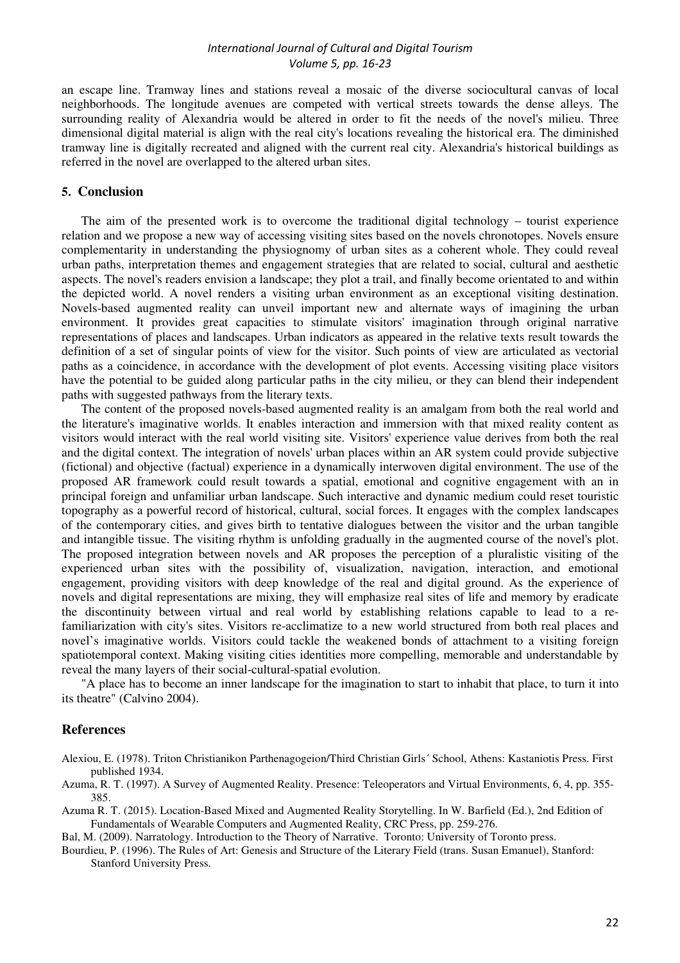an escape line. Tramway lines and stations reveal a mosaic of the diverse sociocultural canvas of local neighborhoods. The longitude avenues are competed with vertical streets towards the dense alleys. The surrounding reality of Alexandria would be altered in order to fit the needs of the novel's milieu. Three dimensional digital material is align with the real city's locations revealing the historical era. The diminished tramway line is digitally recreated and aligned with the current real city. Alexandria's historical buildings as referred in the novel are overlapped to the altered urban sites.

### **5. Conclusion**

The aim of the presented work is to overcome the traditional digital technology – tourist experience relation and we propose a new way of accessing visiting sites based on the novels chronotopes. Novels ensure complementarity in understanding the physiognomy of urban sites as a coherent whole. They could reveal urban paths, interpretation themes and engagement strategies that are related to social, cultural and aesthetic aspects. The novel's readers envision a landscape; they plot a trail, and finally become orientated to and within the depicted world. A novel renders a visiting urban environment as an exceptional visiting destination. Novels-based augmented reality can unveil important new and alternate ways of imagining the urban environment. It provides great capacities to stimulate visitors' imagination through original narrative representations of places and landscapes. Urban indicators as appeared in the relative texts result towards the definition of a set of singular points of view for the visitor. Such points of view are articulated as vectorial paths as a coincidence, in accordance with the development of plot events. Accessing visiting place visitors have the potential to be guided along particular paths in the city milieu, or they can blend their independent paths with suggested pathways from the literary texts.

The content of the proposed novels-based augmented reality is an amalgam from both the real world and the literature's imaginative worlds. It enables interaction and immersion with that mixed reality content as visitors would interact with the real world visiting site. Visitors' experience value derives from both the real and the digital context. The integration of novels' urban places within an AR system could provide subjective (fictional) and objective (factual) experience in a dynamically interwoven digital environment. The use of the proposed AR framework could result towards a spatial, emotional and cognitive engagement with an in principal foreign and unfamiliar urban landscape. Such interactive and dynamic medium could reset touristic topography as a powerful record of historical, cultural, social forces. It engages with the complex landscapes of the contemporary cities, and gives birth to tentative dialogues between the visitor and the urban tangible and intangible tissue. The visiting rhythm is unfolding gradually in the augmented course of the novel's plot. The proposed integration between novels and AR proposes the perception of a pluralistic visiting of the experienced urban sites with the possibility of, visualization, navigation, interaction, and emotional engagement, providing visitors with deep knowledge of the real and digital ground. As the experience of novels and digital representations are mixing, they will emphasize real sites of life and memory by eradicate the discontinuity between virtual and real world by establishing relations capable to lead to a refamiliarization with city's sites. Visitors re-acclimatize to a new world structured from both real places and novel's imaginative worlds. Visitors could tackle the weakened bonds of attachment to a visiting foreign spatiotemporal context. Making visiting cities identities more compelling, memorable and understandable by reveal the many layers of their social-cultural-spatial evolution.

"A place has to become an inner landscape for the imagination to start to inhabit that place, to turn it into its theatre" (Calvino 2004).

#### **References**

- Alexiou, E. (1978). Triton Christianikon Parthenagogeion/Third Christian Girls´ School, Athens: Kastaniotis Press. First published 1934.
- Azuma, R. T. (1997). A Survey of Augmented Reality. Presence: Teleoperators and Virtual Environments, 6, 4, pp. 355- 385.
- Azuma R. T. (2015). Location-Based Mixed and Augmented Reality Storytelling. In W. Barfield (Ed.), 2nd Edition of Fundamentals of Wearable Computers and Augmented Reality, CRC Press, pp. 259-276.

Bal, M. (2009). Narratology. Introduction to the Theory of Narrative. Toronto: University of Toronto press.

Bourdieu, P. (1996). The Rules of Art: Genesis and Structure of the Literary Field (trans. Susan Emanuel), Stanford: Stanford University Press.